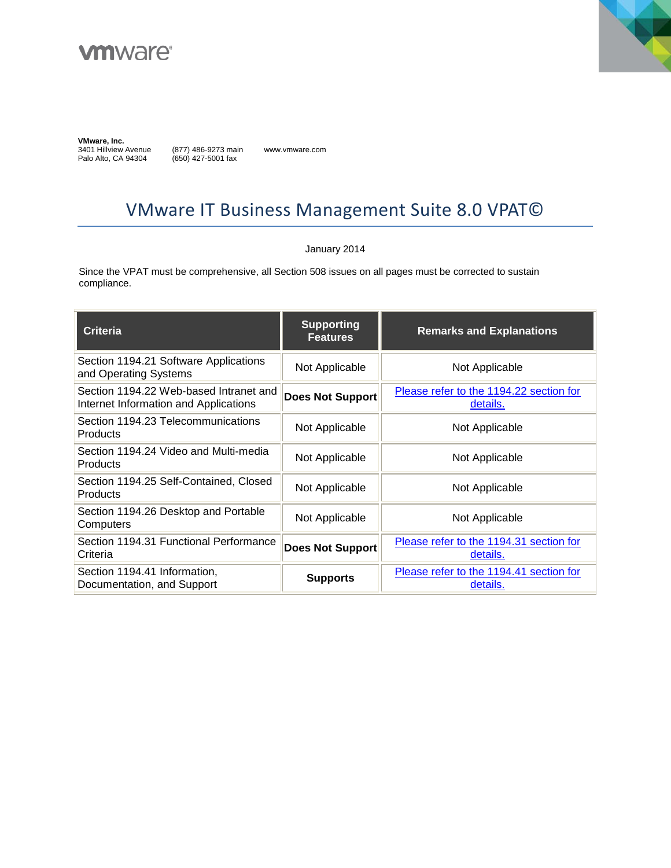



**VMware, Inc.** 

3401 Hillview Avenue Palo Alto, CA 94304

(877) 486-9273 main (650) 427-5001 fax

www.vmware.com

# VMware IT Business Management Suite 8.0 VPAT©

#### January 2014

Since the VPAT must be comprehensive, all Section 508 issues on all pages must be corrected to sustain compliance.

| <b>Criteria</b>                                                                 | <b>Supporting</b><br><b>Features</b> | <b>Remarks and Explanations</b>                     |
|---------------------------------------------------------------------------------|--------------------------------------|-----------------------------------------------------|
| Section 1194.21 Software Applications<br>and Operating Systems                  | Not Applicable                       | Not Applicable                                      |
| Section 1194.22 Web-based Intranet and<br>Internet Information and Applications | <b>Does Not Support</b>              | Please refer to the 1194.22 section for<br>details. |
| Section 1194.23 Telecommunications<br><b>Products</b>                           | Not Applicable                       | Not Applicable                                      |
| Section 1194.24 Video and Multi-media<br><b>Products</b>                        | Not Applicable                       | Not Applicable                                      |
| Section 1194.25 Self-Contained, Closed<br>Products                              | Not Applicable                       | Not Applicable                                      |
| Section 1194.26 Desktop and Portable<br>Computers                               | Not Applicable                       | Not Applicable                                      |
| Section 1194.31 Functional Performance<br>Criteria                              | Does Not Support                     | Please refer to the 1194.31 section for<br>details. |
| Section 1194.41 Information,<br>Documentation, and Support                      | <b>Supports</b>                      | Please refer to the 1194.41 section for<br>details. |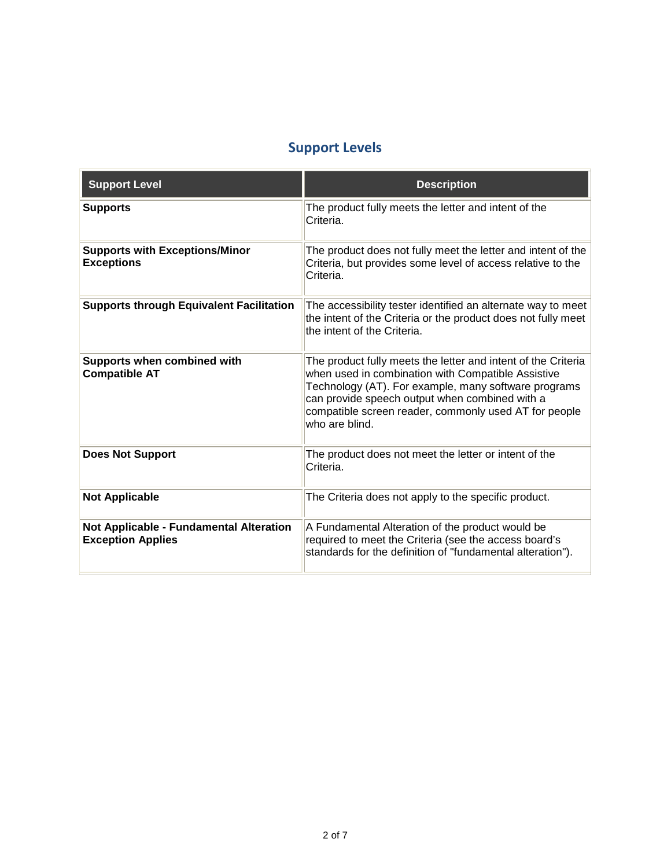### **Support Levels**

| <b>Support Level</b>                                                | <b>Description</b>                                                                                                                                                                                                                                                                                       |
|---------------------------------------------------------------------|----------------------------------------------------------------------------------------------------------------------------------------------------------------------------------------------------------------------------------------------------------------------------------------------------------|
| <b>Supports</b>                                                     | The product fully meets the letter and intent of the<br>Criteria.                                                                                                                                                                                                                                        |
| <b>Supports with Exceptions/Minor</b><br><b>Exceptions</b>          | The product does not fully meet the letter and intent of the<br>Criteria, but provides some level of access relative to the<br>Criteria.                                                                                                                                                                 |
| <b>Supports through Equivalent Facilitation</b>                     | The accessibility tester identified an alternate way to meet<br>the intent of the Criteria or the product does not fully meet<br>the intent of the Criteria.                                                                                                                                             |
| Supports when combined with<br><b>Compatible AT</b>                 | The product fully meets the letter and intent of the Criteria<br>when used in combination with Compatible Assistive<br>Technology (AT). For example, many software programs<br>can provide speech output when combined with a<br>compatible screen reader, commonly used AT for people<br>who are blind. |
| <b>Does Not Support</b>                                             | The product does not meet the letter or intent of the<br>Criteria.                                                                                                                                                                                                                                       |
| <b>Not Applicable</b>                                               | The Criteria does not apply to the specific product.                                                                                                                                                                                                                                                     |
| Not Applicable - Fundamental Alteration<br><b>Exception Applies</b> | A Fundamental Alteration of the product would be<br>required to meet the Criteria (see the access board's<br>standards for the definition of "fundamental alteration").                                                                                                                                  |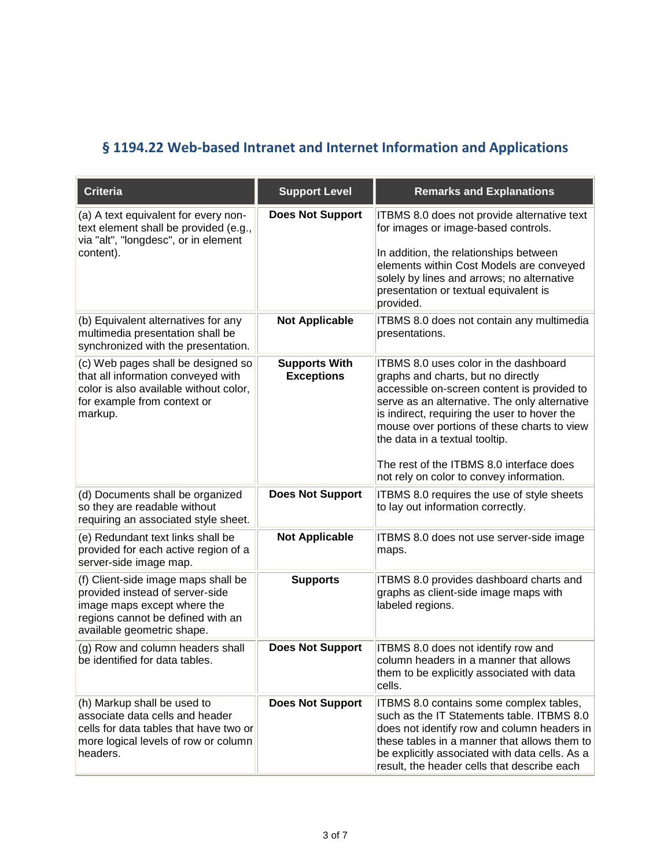### <span id="page-2-0"></span>**§ 1194.22 Web-based Intranet and Internet Information and Applications**

| <b>Criteria</b>                                                                                                                                                          | <b>Support Level</b>                      | <b>Remarks and Explanations</b>                                                                                                                                                                                                                                                                                                                                                                             |
|--------------------------------------------------------------------------------------------------------------------------------------------------------------------------|-------------------------------------------|-------------------------------------------------------------------------------------------------------------------------------------------------------------------------------------------------------------------------------------------------------------------------------------------------------------------------------------------------------------------------------------------------------------|
| (a) A text equivalent for every non-<br>text element shall be provided (e.g.,<br>via "alt", "longdesc", or in element<br>content).                                       | <b>Does Not Support</b>                   | ITBMS 8.0 does not provide alternative text<br>for images or image-based controls.<br>In addition, the relationships between<br>elements within Cost Models are conveyed<br>solely by lines and arrows; no alternative<br>presentation or textual equivalent is<br>provided.                                                                                                                                |
| (b) Equivalent alternatives for any<br>multimedia presentation shall be<br>synchronized with the presentation.                                                           | <b>Not Applicable</b>                     | ITBMS 8.0 does not contain any multimedia<br>presentations.                                                                                                                                                                                                                                                                                                                                                 |
| (c) Web pages shall be designed so<br>that all information conveyed with<br>color is also available without color,<br>for example from context or<br>markup.             | <b>Supports With</b><br><b>Exceptions</b> | <b>ITBMS 8.0 uses color in the dashboard</b><br>graphs and charts, but no directly<br>accessible on-screen content is provided to<br>serve as an alternative. The only alternative<br>is indirect, requiring the user to hover the<br>mouse over portions of these charts to view<br>the data in a textual tooltip.<br>The rest of the ITBMS 8.0 interface does<br>not rely on color to convey information. |
| (d) Documents shall be organized<br>so they are readable without<br>requiring an associated style sheet.                                                                 | <b>Does Not Support</b>                   | ITBMS 8.0 requires the use of style sheets<br>to lay out information correctly.                                                                                                                                                                                                                                                                                                                             |
| (e) Redundant text links shall be<br>provided for each active region of a<br>server-side image map.                                                                      | <b>Not Applicable</b>                     | ITBMS 8.0 does not use server-side image<br>maps.                                                                                                                                                                                                                                                                                                                                                           |
| (f) Client-side image maps shall be<br>provided instead of server-side<br>image maps except where the<br>regions cannot be defined with an<br>available geometric shape. | <b>Supports</b>                           | ITBMS 8.0 provides dashboard charts and<br>graphs as client-side image maps with<br>labeled regions.                                                                                                                                                                                                                                                                                                        |
| (g) Row and column headers shall<br>be identified for data tables.                                                                                                       | <b>Does Not Support</b>                   | ITBMS 8.0 does not identify row and<br>column headers in a manner that allows<br>them to be explicitly associated with data<br>cells.                                                                                                                                                                                                                                                                       |
| (h) Markup shall be used to<br>associate data cells and header<br>cells for data tables that have two or<br>more logical levels of row or column<br>headers.             | <b>Does Not Support</b>                   | ITBMS 8.0 contains some complex tables,<br>such as the IT Statements table. ITBMS 8.0<br>does not identify row and column headers in<br>these tables in a manner that allows them to<br>be explicitly associated with data cells. As a<br>result, the header cells that describe each                                                                                                                       |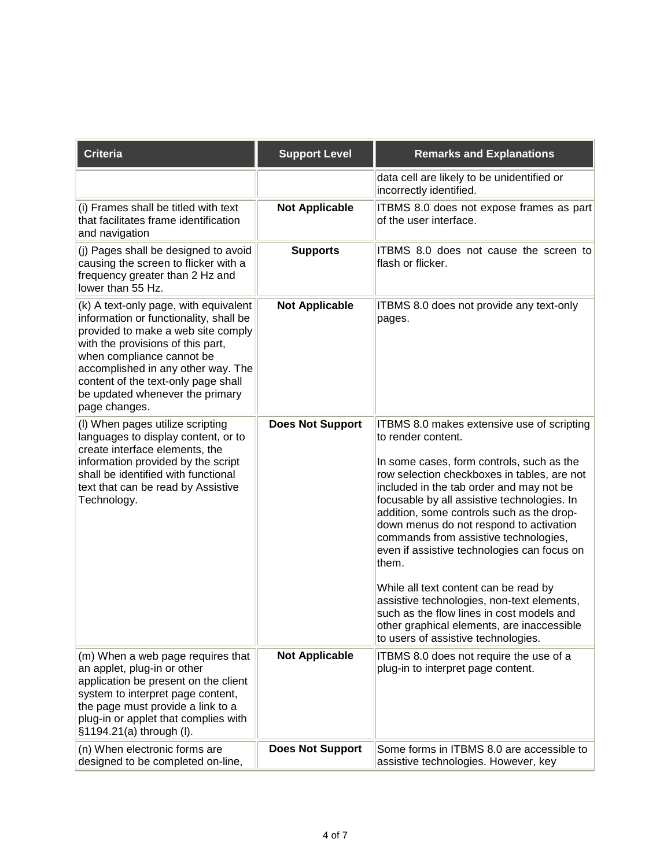| <b>Criteria</b>                                                                                                                                                                                                                                                                                                          | <b>Support Level</b>    | <b>Remarks and Explanations</b>                                                                                                                                                                                                                                                                                                                                                                                                                                                                                                                                                                                                                                           |
|--------------------------------------------------------------------------------------------------------------------------------------------------------------------------------------------------------------------------------------------------------------------------------------------------------------------------|-------------------------|---------------------------------------------------------------------------------------------------------------------------------------------------------------------------------------------------------------------------------------------------------------------------------------------------------------------------------------------------------------------------------------------------------------------------------------------------------------------------------------------------------------------------------------------------------------------------------------------------------------------------------------------------------------------------|
|                                                                                                                                                                                                                                                                                                                          |                         | data cell are likely to be unidentified or<br>incorrectly identified.                                                                                                                                                                                                                                                                                                                                                                                                                                                                                                                                                                                                     |
| (i) Frames shall be titled with text<br>that facilitates frame identification<br>and navigation                                                                                                                                                                                                                          | <b>Not Applicable</b>   | ITBMS 8.0 does not expose frames as part<br>of the user interface.                                                                                                                                                                                                                                                                                                                                                                                                                                                                                                                                                                                                        |
| (j) Pages shall be designed to avoid<br>causing the screen to flicker with a<br>frequency greater than 2 Hz and<br>lower than 55 Hz.                                                                                                                                                                                     | <b>Supports</b>         | ITBMS 8.0 does not cause the screen to<br>flash or flicker.                                                                                                                                                                                                                                                                                                                                                                                                                                                                                                                                                                                                               |
| (k) A text-only page, with equivalent<br>information or functionality, shall be<br>provided to make a web site comply<br>with the provisions of this part,<br>when compliance cannot be<br>accomplished in any other way. The<br>content of the text-only page shall<br>be updated whenever the primary<br>page changes. | <b>Not Applicable</b>   | ITBMS 8.0 does not provide any text-only<br>pages.                                                                                                                                                                                                                                                                                                                                                                                                                                                                                                                                                                                                                        |
| (I) When pages utilize scripting<br>languages to display content, or to<br>create interface elements, the<br>information provided by the script<br>shall be identified with functional<br>text that can be read by Assistive<br>Technology.                                                                              | <b>Does Not Support</b> | ITBMS 8.0 makes extensive use of scripting<br>to render content.<br>In some cases, form controls, such as the<br>row selection checkboxes in tables, are not<br>included in the tab order and may not be<br>focusable by all assistive technologies. In<br>addition, some controls such as the drop-<br>down menus do not respond to activation<br>commands from assistive technologies,<br>even if assistive technologies can focus on<br>them.<br>While all text content can be read by<br>assistive technologies, non-text elements,<br>such as the flow lines in cost models and<br>other graphical elements, are inaccessible<br>to users of assistive technologies. |
| (m) When a web page requires that<br>an applet, plug-in or other<br>application be present on the client<br>system to interpret page content,<br>the page must provide a link to a<br>plug-in or applet that complies with<br>§1194.21(a) through (I).                                                                   | <b>Not Applicable</b>   | ITBMS 8.0 does not require the use of a<br>plug-in to interpret page content.                                                                                                                                                                                                                                                                                                                                                                                                                                                                                                                                                                                             |
| (n) When electronic forms are<br>designed to be completed on-line,                                                                                                                                                                                                                                                       | <b>Does Not Support</b> | Some forms in ITBMS 8.0 are accessible to<br>assistive technologies. However, key                                                                                                                                                                                                                                                                                                                                                                                                                                                                                                                                                                                         |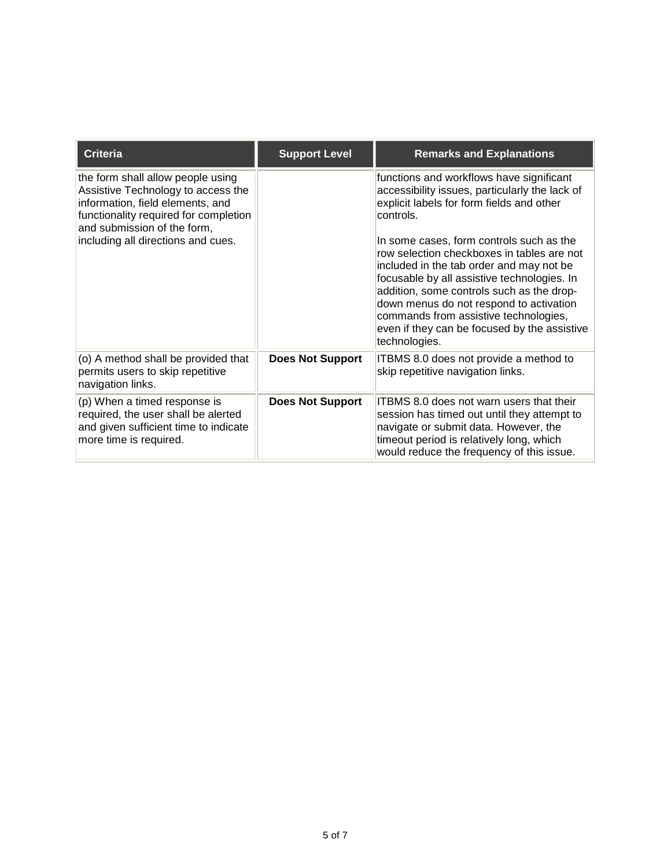| <b>Criteria</b>                                                                                                                                                                     | <b>Support Level</b>    | <b>Remarks and Explanations</b>                                                                                                                                                                                                                                                                                                                                                     |
|-------------------------------------------------------------------------------------------------------------------------------------------------------------------------------------|-------------------------|-------------------------------------------------------------------------------------------------------------------------------------------------------------------------------------------------------------------------------------------------------------------------------------------------------------------------------------------------------------------------------------|
| the form shall allow people using<br>Assistive Technology to access the<br>information, field elements, and<br>functionality required for completion<br>and submission of the form, |                         | functions and workflows have significant<br>accessibility issues, particularly the lack of<br>explicit labels for form fields and other<br>controls.                                                                                                                                                                                                                                |
| including all directions and cues.                                                                                                                                                  |                         | In some cases, form controls such as the<br>row selection checkboxes in tables are not<br>included in the tab order and may not be<br>focusable by all assistive technologies. In<br>addition, some controls such as the drop-<br>down menus do not respond to activation<br>commands from assistive technologies,<br>even if they can be focused by the assistive<br>technologies. |
| (o) A method shall be provided that<br>permits users to skip repetitive<br>navigation links.                                                                                        | <b>Does Not Support</b> | ITBMS 8.0 does not provide a method to<br>skip repetitive navigation links.                                                                                                                                                                                                                                                                                                         |
| (p) When a timed response is<br>required, the user shall be alerted<br>and given sufficient time to indicate<br>more time is required.                                              | <b>Does Not Support</b> | <b>ITBMS 8.0 does not warn users that their</b><br>session has timed out until they attempt to<br>navigate or submit data. However, the<br>timeout period is relatively long, which<br>would reduce the frequency of this issue.                                                                                                                                                    |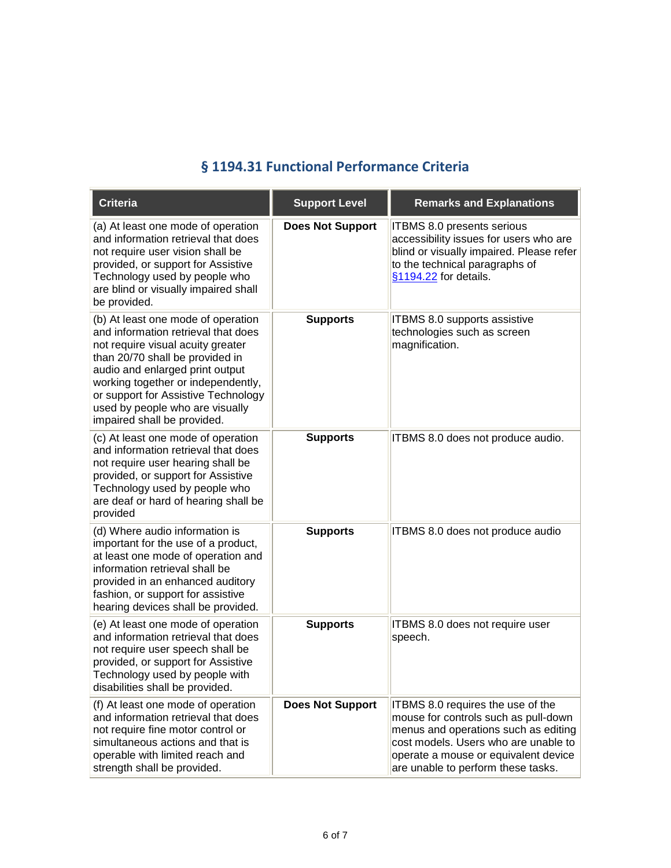#### **§ 1194.31 Functional Performance Criteria**

<span id="page-5-0"></span>

| <b>Criteria</b>                                                                                                                                                                                                                                                                                                                     | <b>Support Level</b>    | <b>Remarks and Explanations</b>                                                                                                                                                                                                         |
|-------------------------------------------------------------------------------------------------------------------------------------------------------------------------------------------------------------------------------------------------------------------------------------------------------------------------------------|-------------------------|-----------------------------------------------------------------------------------------------------------------------------------------------------------------------------------------------------------------------------------------|
| (a) At least one mode of operation<br>and information retrieval that does<br>not require user vision shall be<br>provided, or support for Assistive<br>Technology used by people who<br>are blind or visually impaired shall<br>be provided.                                                                                        | <b>Does Not Support</b> | ITBMS 8.0 presents serious<br>accessibility issues for users who are<br>blind or visually impaired. Please refer<br>to the technical paragraphs of<br>§1194.22 for details.                                                             |
| (b) At least one mode of operation<br>and information retrieval that does<br>not require visual acuity greater<br>than 20/70 shall be provided in<br>audio and enlarged print output<br>working together or independently,<br>or support for Assistive Technology<br>used by people who are visually<br>impaired shall be provided. | <b>Supports</b>         | ITBMS 8.0 supports assistive<br>technologies such as screen<br>magnification.                                                                                                                                                           |
| (c) At least one mode of operation<br>and information retrieval that does<br>not require user hearing shall be<br>provided, or support for Assistive<br>Technology used by people who<br>are deaf or hard of hearing shall be<br>provided                                                                                           | <b>Supports</b>         | ITBMS 8.0 does not produce audio.                                                                                                                                                                                                       |
| (d) Where audio information is<br>important for the use of a product,<br>at least one mode of operation and<br>information retrieval shall be<br>provided in an enhanced auditory<br>fashion, or support for assistive<br>hearing devices shall be provided.                                                                        | <b>Supports</b>         | ITBMS 8.0 does not produce audio                                                                                                                                                                                                        |
| (e) At least one mode of operation<br>and information retrieval that does<br>not require user speech shall be<br>provided, or support for Assistive<br>Technology used by people with<br>disabilities shall be provided.                                                                                                            | <b>Supports</b>         | ITBMS 8.0 does not require user<br>speech.                                                                                                                                                                                              |
| (f) At least one mode of operation<br>and information retrieval that does<br>not require fine motor control or<br>simultaneous actions and that is<br>operable with limited reach and<br>strength shall be provided.                                                                                                                | <b>Does Not Support</b> | ITBMS 8.0 requires the use of the<br>mouse for controls such as pull-down<br>menus and operations such as editing<br>cost models. Users who are unable to<br>operate a mouse or equivalent device<br>are unable to perform these tasks. |